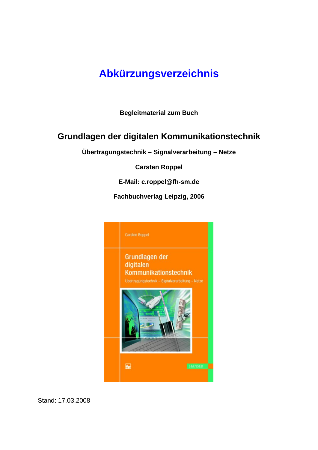# **Abkürzungsverzeichnis**

**Begleitmaterial zum Buch** 

# **Grundlagen der digitalen Kommunikationstechnik**

**Übertragungstechnik – Signalverarbeitung – Netze** 

**Carsten Roppel** 

**E-Mail: c.roppel@fh-sm.de** 

**Fachbuchverlag Leipzig, 2006** 



Stand: 17.03.2008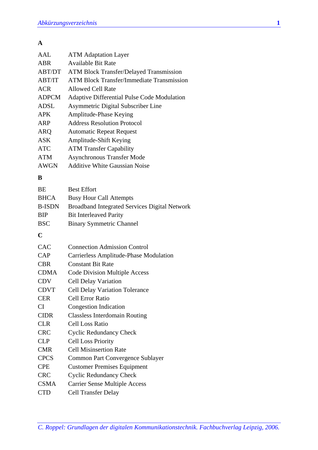### **A**

| AAI.          | <b>ATM</b> Adaptation Layer                          |
|---------------|------------------------------------------------------|
| ABR           | <b>Available Bit Rate</b>                            |
| ABT/DT        | <b>ATM Block Transfer/Delayed Transmission</b>       |
| ABT/IT        | <b>ATM Block Transfer/Immediate Transmission</b>     |
| <b>ACR</b>    | <b>Allowed Cell Rate</b>                             |
| <b>ADPCM</b>  | Adaptive Differential Pulse Code Modulation          |
| ADSL          | Asymmetric Digital Subscriber Line                   |
| <b>APK</b>    | Amplitude-Phase Keying                               |
| ARP           | <b>Address Resolution Protocol</b>                   |
| <b>ARQ</b>    | <b>Automatic Repeat Request</b>                      |
| <b>ASK</b>    | Amplitude-Shift Keying                               |
| <b>ATC</b>    | <b>ATM Transfer Capability</b>                       |
| <b>ATM</b>    | <b>Asynchronous Transfer Mode</b>                    |
| <b>AWGN</b>   | <b>Additive White Gaussian Noise</b>                 |
| B             |                                                      |
| <b>BE</b>     | <b>Best Effort</b>                                   |
| <b>BHCA</b>   | <b>Busy Hour Call Attempts</b>                       |
| <b>B-ISDN</b> | <b>Broadband Integrated Services Digital Network</b> |
| <b>BIP</b>    | <b>Bit Interleaved Parity</b>                        |
| <b>BSC</b>    | <b>Binary Symmetric Channel</b>                      |

#### **C**

| CAC         | <b>Connection Admission Control</b>           |
|-------------|-----------------------------------------------|
| CAP         | <b>Carrierless Amplitude-Phase Modulation</b> |
| <b>CBR</b>  | <b>Constant Bit Rate</b>                      |
| <b>CDMA</b> | <b>Code Division Multiple Access</b>          |
| <b>CDV</b>  | <b>Cell Delay Variation</b>                   |
| <b>CDVT</b> | <b>Cell Delay Variation Tolerance</b>         |
| <b>CER</b>  | <b>Cell Error Ratio</b>                       |
| CI.         | Congestion Indication                         |
| <b>CIDR</b> | <b>Classless Interdomain Routing</b>          |
| <b>CLR</b>  | Cell Loss Ratio                               |
| <b>CRC</b>  | <b>Cyclic Redundancy Check</b>                |
| <b>CLP</b>  | <b>Cell Loss Priority</b>                     |
| <b>CMR</b>  | <b>Cell Misinsertion Rate</b>                 |
| <b>CPCS</b> | Common Part Convergence Sublayer              |
| <b>CPE</b>  | <b>Customer Premises Equipment</b>            |
| <b>CRC</b>  | <b>Cyclic Redundancy Check</b>                |
| <b>CSMA</b> | <b>Carrier Sense Multiple Access</b>          |
| <b>CTD</b>  | <b>Cell Transfer Delay</b>                    |
|             |                                               |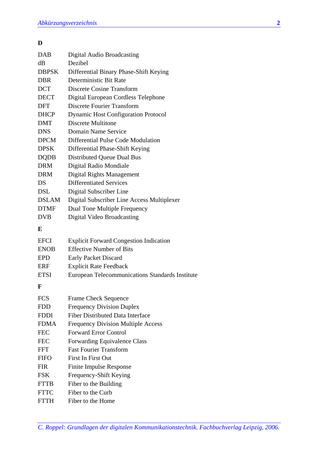#### **D**

| <b>DAB</b>   | Digital Audio Broadcasting                 |
|--------------|--------------------------------------------|
| dВ           | Dezibel                                    |
| <b>DBPSK</b> | Differential Binary Phase-Shift Keying     |
| <b>DBR</b>   | Deterministic Bit Rate                     |
| <b>DCT</b>   | <b>Discrete Cosine Transform</b>           |
| <b>DECT</b>  | Digital European Cordless Telephone        |
| <b>DFT</b>   | Discrete Fourier Transform                 |
| <b>DHCP</b>  | <b>Dynamic Host Configuration Protocol</b> |
| <b>DMT</b>   | Discrete Multitone                         |
| <b>DNS</b>   | Domain Name Service                        |
| <b>DPCM</b>  | Differential Pulse Code Modulation         |
| <b>DPSK</b>  | Differential Phase-Shift Keying            |
| <b>DQDB</b>  | Distributed Queue Dual Bus                 |
| <b>DRM</b>   | Digital Radio Mondiale                     |
| <b>DRM</b>   | Digital Rights Management                  |
| DS           | <b>Differentiated Services</b>             |
| DSL          | Digital Subscriber Line                    |
| <b>DSLAM</b> | Digital Subscriber Line Access Multiplexer |
| <b>DTMF</b>  | Dual Tone Multiple Frequency               |
| DVB          | Digital Video Broadcasting                 |

#### **E**

| <b>EFCI</b> | <b>Explicit Forward Congestion Indication</b>   |
|-------------|-------------------------------------------------|
| <b>ENOB</b> | <b>Effective Number of Bits</b>                 |
| EPD         | Early Packet Discard                            |
| ERF         | <b>Explicit Rate Feedback</b>                   |
| <b>ETSI</b> | European Telecommunications Standards Institute |

## **F**

| <b>FCS</b>  | <b>Frame Check Sequence</b>               |
|-------------|-------------------------------------------|
| <b>FDD</b>  | <b>Frequency Division Duplex</b>          |
| <b>FDDI</b> | Fiber Distributed Data Interface          |
| <b>FDMA</b> | <b>Frequency Division Multiple Access</b> |
| <b>FEC</b>  | <b>Forward Error Control</b>              |
| <b>FEC</b>  | <b>Forwarding Equivalence Class</b>       |
| <b>FFT</b>  | <b>Fast Fourier Transform</b>             |
| <b>FIFO</b> | First In First Out                        |
| <b>FIR</b>  | Finite Impulse Response                   |
| <b>FSK</b>  | Frequency-Shift Keying                    |
| <b>FTTB</b> | Fiber to the Building                     |
| <b>FTTC</b> | Fiber to the Curb                         |
| <b>FTTH</b> | Fiber to the Home                         |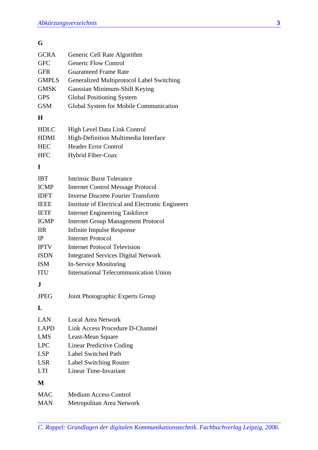## **G**

| <b>GCRA</b>  | Generic Cell Rate Algorithm                      |
|--------------|--------------------------------------------------|
| <b>GFC</b>   | <b>Generic Flow Control</b>                      |
| GFR          | <b>Guaranteed Frame Rate</b>                     |
| <b>GMPLS</b> | Generalized Multiprotocol Label Switching        |
| <b>GMSK</b>  | Gaussian Minimum-Shift Keying                    |
| <b>GPS</b>   | <b>Global Positioning System</b>                 |
| <b>GSM</b>   | Global System for Mobile Communication           |
| H            |                                                  |
| <b>HDLC</b>  | High Level Data Link Control                     |
| <b>HDMI</b>  | High-Definition Multimedia Interface             |
| <b>HEC</b>   | <b>Header Error Control</b>                      |
| <b>HFC</b>   | Hybrid Fiber-Coax                                |
| I            |                                                  |
| <b>IBT</b>   | <b>Intrinsic Burst Tolerance</b>                 |
| <b>ICMP</b>  | <b>Internet Control Message Protocol</b>         |
| <b>IDFT</b>  | <b>Inverse Discrete Fourier Transform</b>        |
| <b>IEEE</b>  | Institute of Electrical and Electronic Engineers |
| <b>IETF</b>  | <b>Internet Engineering Taskforce</b>            |
| <b>IGMP</b>  | <b>Internet Group Management Protocol</b>        |
| <b>IIR</b>   | <b>Infinite Impulse Response</b>                 |
| <b>IP</b>    | <b>Internet Protocol</b>                         |
| <b>IPTV</b>  | <b>Internet Protocol Television</b>              |
| <b>ISDN</b>  | <b>Integrated Services Digital Network</b>       |
| <b>ISM</b>   | In-Service Monitoring                            |
| <b>ITU</b>   | <b>International Telecommunication Union</b>     |
| J            |                                                  |
| <b>JPEG</b>  | Joint Photographic Experts Group                 |
| L            |                                                  |
| LAN          | <b>Local Area Network</b>                        |
| <b>LAPD</b>  | Link Access Procedure D-Channel                  |
| <b>LMS</b>   | Least-Mean Square                                |
| <b>LPC</b>   | <b>Linear Predictive Coding</b>                  |
| <b>LSP</b>   | Label Switched Path                              |
| <b>LSR</b>   | <b>Label Switching Router</b>                    |
| <b>LTI</b>   | <b>Linear Time-Invariant</b>                     |
| M            |                                                  |
| <b>MAC</b>   | <b>Medium Access Control</b>                     |
| <b>MAN</b>   | Metropolitan Area Network                        |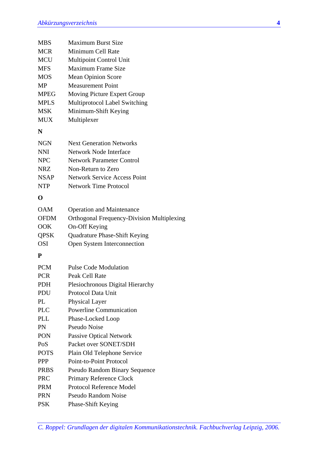| <b>MBS</b>  | <b>Maximum Burst Size</b>                         |
|-------------|---------------------------------------------------|
| MCR         | Minimum Cell Rate                                 |
| <b>MCU</b>  | <b>Multipoint Control Unit</b>                    |
| <b>MFS</b>  | <b>Maximum Frame Size</b>                         |
| <b>MOS</b>  | <b>Mean Opinion Score</b>                         |
| MP          | <b>Measurement Point</b>                          |
| <b>MPEG</b> | Moving Picture Expert Group                       |
| <b>MPLS</b> | <b>Multiprotocol Label Switching</b>              |
| MSK         | Minimum-Shift Keying                              |
| MUX         | Multiplexer                                       |
| N           |                                                   |
| NGN         | <b>Next Generation Networks</b>                   |
| NNI         | <b>Network Node Interface</b>                     |
| <b>NPC</b>  | <b>Network Parameter Control</b>                  |
| <b>NRZ</b>  | Non-Return to Zero                                |
| <b>NSAP</b> | <b>Network Service Access Point</b>               |
| NTP         | <b>Network Time Protocol</b>                      |
| O           |                                                   |
| <b>OAM</b>  | <b>Operation and Maintenance</b>                  |
| OFDM        | <b>Orthogonal Frequency-Division Multiplexing</b> |
| OOK         | On-Off Keying                                     |
| QPSK        | Quadrature Phase-Shift Keying                     |
| <b>OSI</b>  | Open System Interconnection                       |
| P           |                                                   |
| <b>PCM</b>  | <b>Pulse Code Modulation</b>                      |
| <b>PCR</b>  | Peak Cell Rate                                    |
| PDH         | Plesiochronous Digital Hierarchy                  |
| PDU         | Protocol Data Unit                                |
| PL          | <b>Physical Layer</b>                             |
| <b>PLC</b>  | <b>Powerline Communication</b>                    |
| PLL         | Phase-Locked Loop                                 |
| PN          | <b>Pseudo Noise</b>                               |
| PON         | <b>Passive Optical Network</b>                    |
| PoS         | Packet over SONET/SDH                             |
| <b>POTS</b> | Plain Old Telephone Service                       |
| PPP         | Point-to-Point Protocol                           |
| PRBS        | <b>Pseudo Random Binary Sequence</b>              |
| <b>PRC</b>  | <b>Primary Reference Clock</b>                    |
| PRM         | Protocol Reference Model                          |
| PRN         | <b>Pseudo Random Noise</b>                        |
| PSK         | Phase-Shift Keying                                |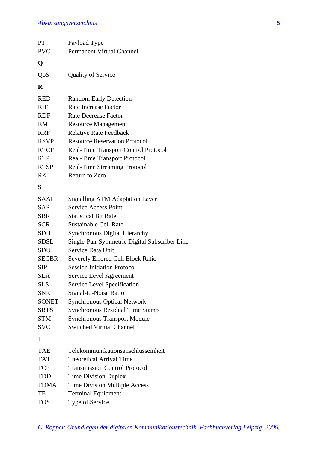| PT           | Payload Type                                  |
|--------------|-----------------------------------------------|
| <b>PVC</b>   | <b>Permanent Virtual Channel</b>              |
| Q            |                                               |
| QoS          | <b>Quality of Service</b>                     |
| R            |                                               |
| <b>RED</b>   | <b>Random Early Detection</b>                 |
| <b>RIF</b>   | <b>Rate Increase Factor</b>                   |
| <b>RDF</b>   | Rate Decrease Factor                          |
| <b>RM</b>    | <b>Resource Management</b>                    |
| <b>RRF</b>   | <b>Relative Rate Feedback</b>                 |
| <b>RSVP</b>  | <b>Resource Reservation Protocol</b>          |
| <b>RTCP</b>  | <b>Real-Time Transport Control Protocol</b>   |
| <b>RTP</b>   | <b>Real-Time Transport Protocol</b>           |
| <b>RTSP</b>  | <b>Real-Time Streaming Protocol</b>           |
| RZ           | Return to Zero                                |
| S            |                                               |
| <b>SAAL</b>  | <b>Signalling ATM Adaptation Layer</b>        |
| <b>SAP</b>   | <b>Service Access Point</b>                   |
| <b>SBR</b>   | <b>Statistical Bit Rate</b>                   |
| <b>SCR</b>   | <b>Sustainable Cell Rate</b>                  |
| <b>SDH</b>   | <b>Synchronous Digital Hierarchy</b>          |
| <b>SDSL</b>  | Single-Pair Symmetric Digital Subscriber Line |
| <b>SDU</b>   | Service Data Unit                             |
| <b>SECBR</b> | <b>Severely Errored Cell Block Ratio</b>      |
| <b>SIP</b>   | <b>Session Initiation Protocol</b>            |
| <b>SLA</b>   | Service Level Agreement                       |
| <b>SLS</b>   | <b>Service Level Specification</b>            |
| <b>SNR</b>   | Signal-to-Noise Ratio                         |
| <b>SONET</b> | <b>Synchronous Optical Network</b>            |
| <b>SRTS</b>  | <b>Synchronous Residual Time Stamp</b>        |
| <b>STM</b>   | <b>Synchronous Transport Module</b>           |
| <b>SVC</b>   | <b>Switched Virtual Channel</b>               |
| Т            |                                               |
| TAE          | Telekommunikationsanschlusseinheit            |
| <b>TAT</b>   | <b>Theoretical Arrival Time</b>               |
| <b>TCP</b>   | <b>Transmission Control Protocol</b>          |
| <b>TDD</b>   | <b>Time Division Duplex</b>                   |
| <b>TDMA</b>  | Time Division Multiple Access                 |
| TE           | <b>Terminal Equipment</b>                     |
| <b>TOS</b>   | Type of Service                               |
|              |                                               |